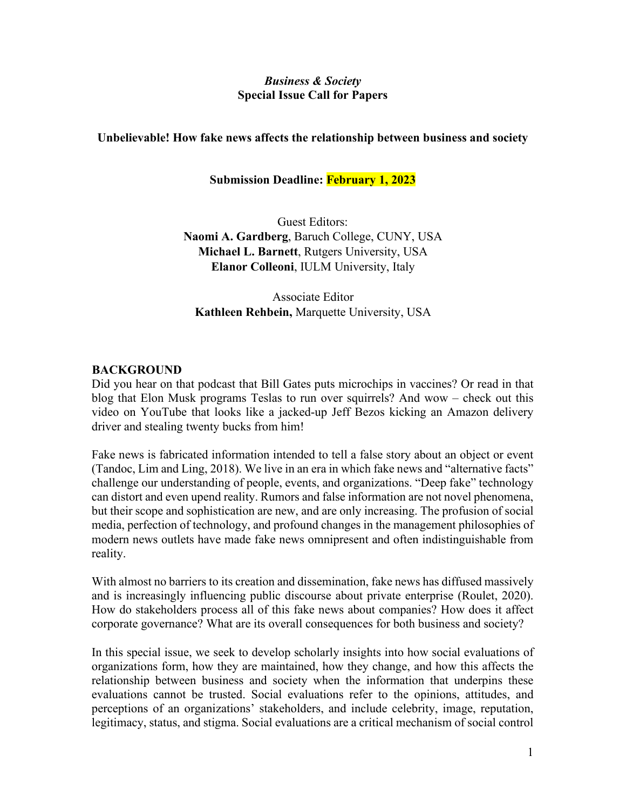### *Business & Society* **Special Issue Call for Papers**

## **Unbelievable! How fake news affects the relationship between business and society**

# **Submission Deadline: February 1, 2023**

Guest Editors: **Naomi A. Gardberg**, Baruch College, CUNY, USA **Michael L. Barnett**, Rutgers University, USA **Elanor Colleoni**, IULM University, Italy

Associate Editor **Kathleen Rehbein,** Marquette University, USA

## **BACKGROUND**

Did you hear on that podcast that Bill Gates puts microchips in vaccines? Or read in that blog that Elon Musk programs Teslas to run over squirrels? And wow – check out this video on YouTube that looks like a jacked-up Jeff Bezos kicking an Amazon delivery driver and stealing twenty bucks from him!

Fake news is fabricated information intended to tell a false story about an object or event (Tandoc, Lim and Ling, 2018). We live in an era in which fake news and "alternative facts" challenge our understanding of people, events, and organizations. "Deep fake" technology can distort and even upend reality. Rumors and false information are not novel phenomena, but their scope and sophistication are new, and are only increasing. The profusion of social media, perfection of technology, and profound changes in the management philosophies of modern news outlets have made fake news omnipresent and often indistinguishable from reality.

With almost no barriers to its creation and dissemination, fake news has diffused massively and is increasingly influencing public discourse about private enterprise (Roulet, 2020). How do stakeholders process all of this fake news about companies? How does it affect corporate governance? What are its overall consequences for both business and society?

In this special issue, we seek to develop scholarly insights into how social evaluations of organizations form, how they are maintained, how they change, and how this affects the relationship between business and society when the information that underpins these evaluations cannot be trusted. Social evaluations refer to the opinions, attitudes, and perceptions of an organizations' stakeholders, and include celebrity, image, reputation, legitimacy, status, and stigma. Social evaluations are a critical mechanism of social control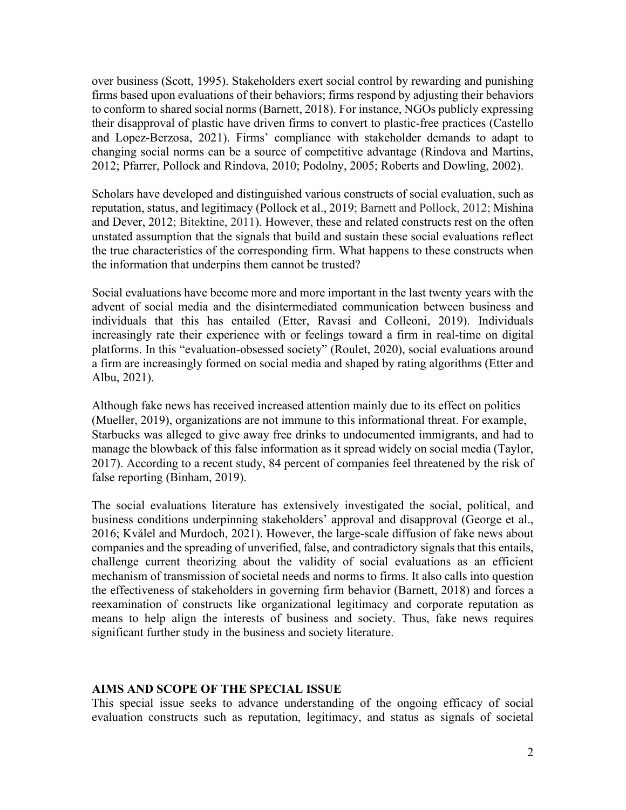over business (Scott, 1995). Stakeholders exert social control by rewarding and punishing firms based upon evaluations of their behaviors; firms respond by adjusting their behaviors to conform to shared social norms (Barnett, 2018). For instance, NGOs publicly expressing their disapproval of plastic have driven firms to convert to plastic-free practices (Castello and Lopez-Berzosa, 2021). Firms' compliance with stakeholder demands to adapt to changing social norms can be a source of competitive advantage (Rindova and Martins, 2012; Pfarrer, Pollock and Rindova, 2010; Podolny, 2005; Roberts and Dowling, 2002).

Scholars have developed and distinguished various constructs of social evaluation, such as reputation, status, and legitimacy (Pollock et al., 2019; Barnett and Pollock, 2012; Mishina and Dever, 2012; Bitektine, 2011). However, these and related constructs rest on the often unstated assumption that the signals that build and sustain these social evaluations reflect the true characteristics of the corresponding firm. What happens to these constructs when the information that underpins them cannot be trusted?

Social evaluations have become more and more important in the last twenty years with the advent of social media and the disintermediated communication between business and individuals that this has entailed (Etter, Ravasi and Colleoni, 2019). Individuals increasingly rate their experience with or feelings toward a firm in real-time on digital platforms. In this "evaluation-obsessed society" (Roulet, 2020), social evaluations around a firm are increasingly formed on social media and shaped by rating algorithms (Etter and Albu, 2021).

Although fake news has received increased attention mainly due to its effect on politics (Mueller, 2019), organizations are not immune to this informational threat. For example, Starbucks was alleged to give away free drinks to undocumented immigrants, and had to manage the blowback of this false information as it spread widely on social media (Taylor, 2017). According to a recent study, 84 percent of companies feel threatened by the risk of false reporting (Binham, 2019).

The social evaluations literature has extensively investigated the social, political, and business conditions underpinning stakeholders' approval and disapproval (George et al., 2016; Kvålel and Murdoch, 2021). However, the large-scale diffusion of fake news about companies and the spreading of unverified, false, and contradictory signals that this entails, challenge current theorizing about the validity of social evaluations as an efficient mechanism of transmission of societal needs and norms to firms. It also calls into question the effectiveness of stakeholders in governing firm behavior (Barnett, 2018) and forces a reexamination of constructs like organizational legitimacy and corporate reputation as means to help align the interests of business and society. Thus, fake news requires significant further study in the business and society literature.

### **AIMS AND SCOPE OF THE SPECIAL ISSUE**

This special issue seeks to advance understanding of the ongoing efficacy of social evaluation constructs such as reputation, legitimacy, and status as signals of societal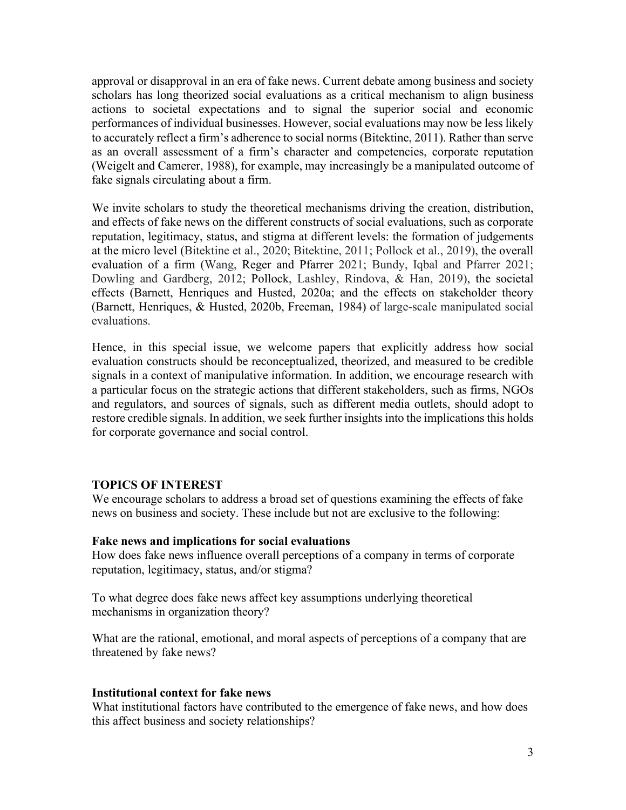approval or disapproval in an era of fake news. Current debate among business and society scholars has long theorized social evaluations as a critical mechanism to align business actions to societal expectations and to signal the superior social and economic performances of individual businesses. However, social evaluations may now be less likely to accurately reflect a firm's adherence to social norms (Bitektine, 2011). Rather than serve as an overall assessment of a firm's character and competencies, corporate reputation (Weigelt and Camerer, 1988), for example, may increasingly be a manipulated outcome of fake signals circulating about a firm.

We invite scholars to study the theoretical mechanisms driving the creation, distribution, and effects of fake news on the different constructs of social evaluations, such as corporate reputation, legitimacy, status, and stigma at different levels: the formation of judgements at the micro level (Bitektine et al., 2020; Bitektine, 2011; Pollock et al., 2019), the overall evaluation of a firm (Wang, Reger and Pfarrer 2021; Bundy, Iqbal and Pfarrer 2021; Dowling and Gardberg, 2012; Pollock, [Lashley,](https://journals.aom.org/doi/abs/10.5465/annals.2017.0086) Rindova, & Han, 2019), the societal effects (Barnett, Henriques and Husted, 2020a; and the effects on stakeholder theory (Barnett, Henriques, & Husted, 2020b, Freeman, 1984) of large-scale manipulated social evaluations.

Hence, in this special issue, we welcome papers that explicitly address how social evaluation constructs should be reconceptualized, theorized, and measured to be credible signals in a context of manipulative information. In addition, we encourage research with a particular focus on the strategic actions that different stakeholders, such as firms, NGOs and regulators, and sources of signals, such as different media outlets, should adopt to restore credible signals. In addition, we seek further insights into the implications this holds for corporate governance and social control.

### **TOPICS OF INTEREST**

We encourage scholars to address a broad set of questions examining the effects of fake news on business and society. These include but not are exclusive to the following:

### **Fake news and implications for social evaluations**

How does fake news influence overall perceptions of a company in terms of corporate reputation, legitimacy, status, and/or stigma?

To what degree does fake news affect key assumptions underlying theoretical mechanisms in organization theory?

What are the rational, emotional, and moral aspects of perceptions of a company that are threatened by fake news?

### **Institutional context for fake news**

What institutional factors have contributed to the emergence of fake news, and how does this affect business and society relationships?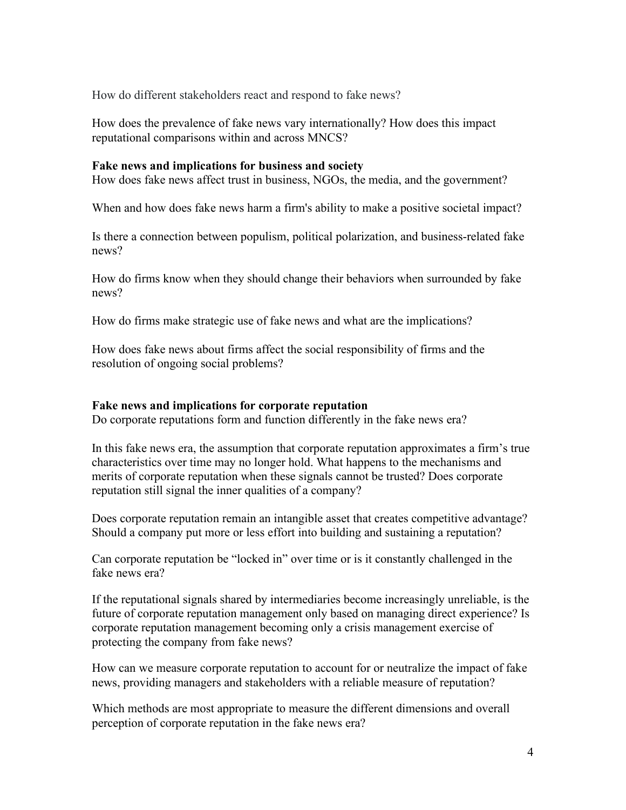How do different stakeholders react and respond to fake news?

How does the prevalence of fake news vary internationally? How does this impact reputational comparisons within and across MNCS?

### **Fake news and implications for business and society**

How does fake news affect trust in business, NGOs, the media, and the government?

When and how does fake news harm a firm's ability to make a positive societal impact?

Is there a connection between populism, political polarization, and business-related fake news?

How do firms know when they should change their behaviors when surrounded by fake news?

How do firms make strategic use of fake news and what are the implications?

How does fake news about firms affect the social responsibility of firms and the resolution of ongoing social problems?

### **Fake news and implications for corporate reputation**

Do corporate reputations form and function differently in the fake news era?

In this fake news era, the assumption that corporate reputation approximates a firm's true characteristics over time may no longer hold. What happens to the mechanisms and merits of corporate reputation when these signals cannot be trusted? Does corporate reputation still signal the inner qualities of a company?

Does corporate reputation remain an intangible asset that creates competitive advantage? Should a company put more or less effort into building and sustaining a reputation?

Can corporate reputation be "locked in" over time or is it constantly challenged in the fake news era?

If the reputational signals shared by intermediaries become increasingly unreliable, is the future of corporate reputation management only based on managing direct experience? Is corporate reputation management becoming only a crisis management exercise of protecting the company from fake news?

How can we measure corporate reputation to account for or neutralize the impact of fake news, providing managers and stakeholders with a reliable measure of reputation?

Which methods are most appropriate to measure the different dimensions and overall perception of corporate reputation in the fake news era?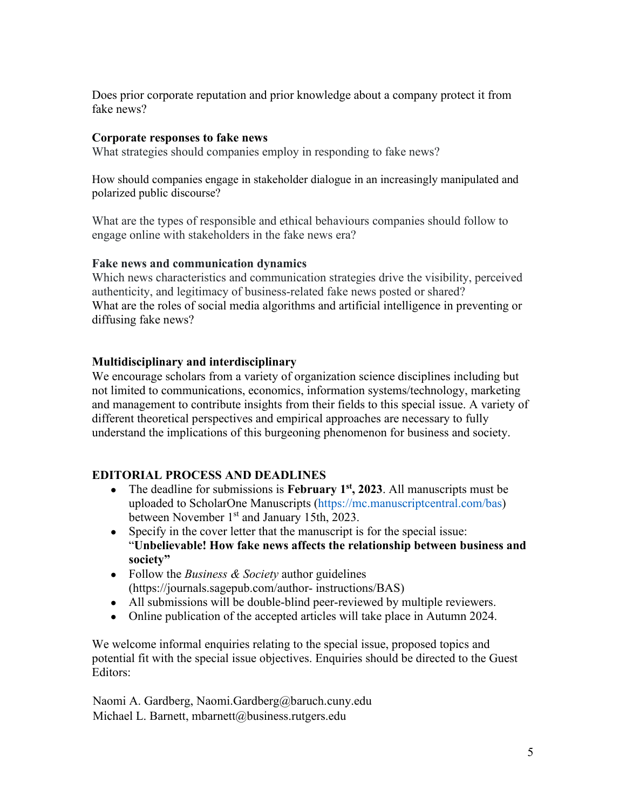Does prior corporate reputation and prior knowledge about a company protect it from fake news?

## **Corporate responses to fake news**

What strategies should companies employ in responding to fake news?

How should companies engage in stakeholder dialogue in an increasingly manipulated and polarized public discourse?

What are the types of responsible and ethical behaviours companies should follow to engage online with stakeholders in the fake news era?

### **Fake news and communication dynamics**

Which news characteristics and communication strategies drive the visibility, perceived authenticity, and legitimacy of business-related fake news posted or shared? What are the roles of social media algorithms and artificial intelligence in preventing or diffusing fake news?

### **Multidisciplinary and interdisciplinary**

We encourage scholars from a variety of organization science disciplines including but not limited to communications, economics, information systems/technology, marketing and management to contribute insights from their fields to this special issue. A variety of different theoretical perspectives and empirical approaches are necessary to fully understand the implications of this burgeoning phenomenon for business and society.

## **EDITORIAL PROCESS AND DEADLINES**

- The deadline for submissions is **February 1st, 2023**. All manuscripts must be uploaded to ScholarOne Manuscripts (https://mc.manuscriptcentral.com/bas) between November 1<sup>st</sup> and January 15th, 2023.
- Specify in the cover letter that the manuscript is for the special issue: "**Unbelievable! How fake news affects the relationship between business and society"**
- Follow the *Business & Society* author guidelines (https://journals.sagepub.com/author- instructions/BAS)
- All submissions will be double-blind peer-reviewed by multiple reviewers.
- Online publication of the accepted articles will take place in Autumn 2024.

We welcome informal enquiries relating to the special issue, proposed topics and potential fit with the special issue objectives. Enquiries should be directed to the Guest Editors:

Naomi A. Gardberg, Naomi.Gardberg@baruch.cuny.edu Michael L. Barnett, mbarnett@business.rutgers.edu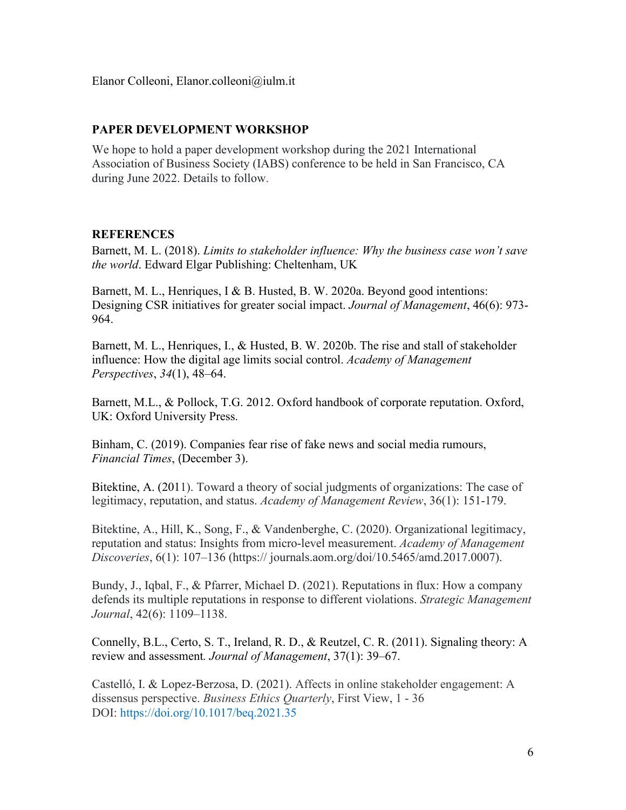# **PAPER DEVELOPMENT WORKSHOP**

We hope to hold a paper development workshop during the 2021 International Association of Business Society (IABS) conference to be held in San Francisco, CA during June 2022. Details to follow.

## **REFERENCES**

Barnett, M. L. (2018). *Limits to stakeholder influence: Why the business case won't save the world*. Edward Elgar Publishing: Cheltenham, UK

Barnett, M. L., Henriques, I & B. Husted, B. W. 2020a. Beyond good intentions: Designing CSR initiatives for greater social impact. *Journal of Management*, 46(6): 973- 964.

Barnett, M. L., Henriques, I., & Husted, B. W. 2020b. The rise and stall of stakeholder influence: How the digital age limits social control. *Academy of Management Perspectives*, *34*(1), 48–64.

Barnett, M.L., & Pollock, T.G. 2012. Oxford handbook of corporate reputation. Oxford, UK: Oxford University Press.

Binham, C. (2019). Companies fear rise of fake news and social media rumours, *Financial Times*, (December 3).

Bitektine, A. (2011). [Toward a theory of social judgments of organizations: The case of](https://journals.aom.org/doi/10.5465/amr.2009.0382)  [legitimacy, reputation, and status.](https://journals.aom.org/doi/10.5465/amr.2009.0382) *Academy of Management Review*, 36(1): 151-179.

Bitektine, A., Hill, K., Song, F., & Vandenberghe, C. (2020). Organizational legitimacy, reputation and status: Insights from micro-level measurement. *Academy of Management Discoveries*, 6(1): 107–136 (https:// journals.aom.org/doi/10.5465/amd.2017.0007).

Bundy, J., Iqbal, F., & Pfarrer, Michael D. (2021). Reputations in flux: How a company defends its multiple reputations in response to different violations. *Strategic Management Journal*, 42(6): 1109–1138.

Connelly, B.L., Certo, S. T., Ireland, R. D., & Reutzel, C. R. (2011). Signaling theory: A review and assessment*. Journal of Management*, 37(1): 39–67.

Castel[ló,](https://www.cambridge.org/core/search?filters%5BauthorTerms%5D=Itziar%20Castell%C3%B3&eventCode=SE-AU) I. & Lopez-Berzosa, D. (2021). Affects in online stakeholder engagement: A dissensus perspective. *Business Ethics Quarterly*, First View, 1 - 36 DOI:<https://doi.org/10.1017/beq.2021.35>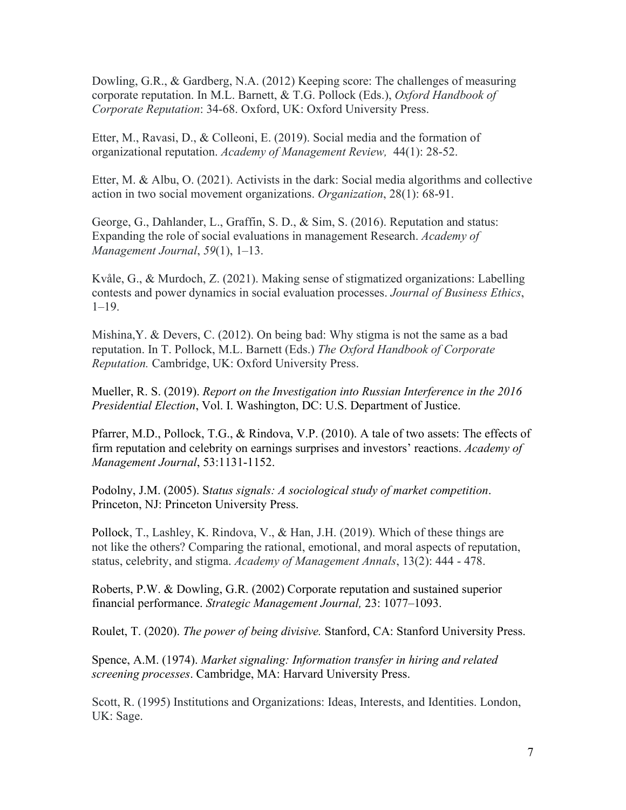Dowling, G.R., & Gardberg, N.A. (2012) Keeping score: The challenges of measuring corporate reputation. In M.L. Barnett, & T.G. Pollock (Eds.), *Oxford Handbook of Corporate Reputation*: 34-68. Oxford, UK: Oxford University Press.

Etter, M., Ravasi, D., & Colleoni, E. (2019). Social media and the formation of organizational reputation. *Academy of Management Review,* 44(1): 28-52.

Etter, M. & Albu, O. (2021). Activists in the dark: Social media algorithms and collective action in two social movement organizations. *Organization*, [28\(1\):](https://journals.sagepub.com/toc/org/28/1) 68-91.

George, G., Dahlander, L., Graffin, S. D., & Sim, S. (2016). Reputation and status: Expanding the role of social evaluations in management Research. *Academy of Management Journal*, *59*(1), 1–13.

Kvåle, G., & Murdoch, Z. (2021). Making sense of stigmatized organizations: Labelling contests and power dynamics in social evaluation processes. *Journal of Business Ethics*,  $1-19.$ 

Mishina, Y. & Devers, C. (2012). On being bad: Why stigma is not the same as a bad reputation. In T. Pollock, M.L. Barnett (Eds.) *The Oxford Handbook of Corporate Reputation.* Cambridge, UK: Oxford University Press.

Mueller, R. S. (2019). *Report on the Investigation into Russian Interference in the 2016 Presidential Election*, Vol. I. Washington, DC: U.S. Department of Justice.

Pfarrer, M.D., Pollock, T.G., & Rindova, V.P. (2010). A tale of two assets: The effects of firm reputation and celebrity on earnings surprises and investors' reactions. *Academy of Management Journal*, 53:1131-1152.

Podolny, J.M. (2005). S*tatus signals: A sociological study of market competition*. Princeton, NJ: Princeton University Press.

Pollock, T., [Lashley,](https://journals.aom.org/doi/abs/10.5465/annals.2017.0086) K. Rindova, V., & Han, J.H. (2019). Which of these things are not like the others? Comparing the rational, emotional, and moral aspects of reputation, status, celebrity, and stigma. *Academy of Management Annals*, 13(2): 444 - 478.

Roberts, P.W. & Dowling, G.R. (2002) Corporate reputation and sustained superior financial performance. *Strategic Management Journal,* 23: 1077–1093.

Roulet, T. (2020). *The power of being divisive.* Stanford, CA: Stanford University Press.

Spence, A.M. (1974). *Market signaling: Information transfer in hiring and related screening processes*. Cambridge, MA: Harvard University Press.

Scott, R. (1995) Institutions and Organizations: Ideas, Interests, and Identities. London, UK: Sage.